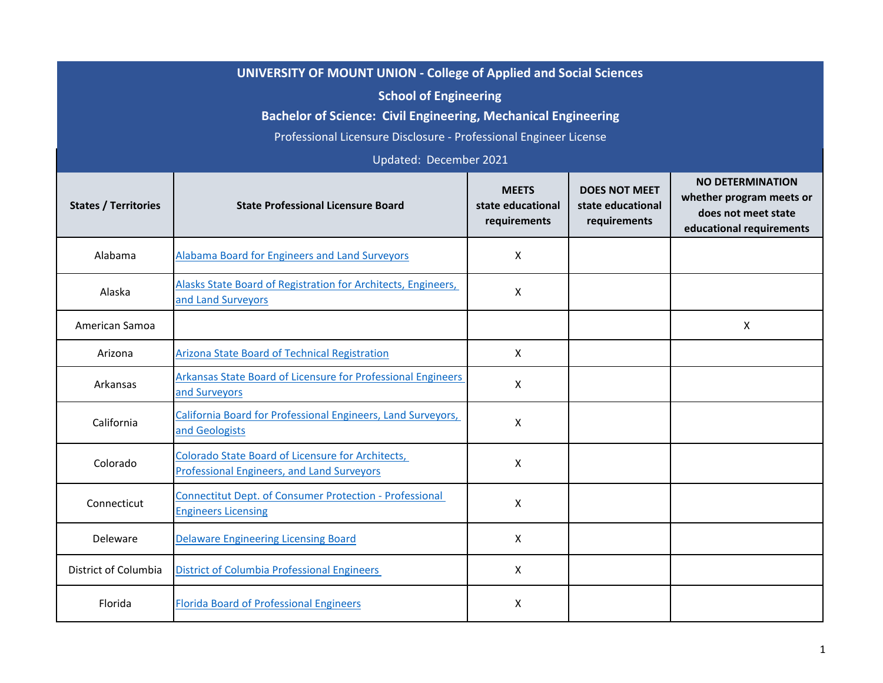| <b>UNIVERSITY OF MOUNT UNION - College of Applied and Social Sciences</b><br><b>School of Engineering</b><br><b>Bachelor of Science: Civil Engineering, Mechanical Engineering</b><br>Professional Licensure Disclosure - Professional Engineer License<br>Updated: December 2021 |                                                                                                        |                                                   |                                                           |                                                                                                        |
|-----------------------------------------------------------------------------------------------------------------------------------------------------------------------------------------------------------------------------------------------------------------------------------|--------------------------------------------------------------------------------------------------------|---------------------------------------------------|-----------------------------------------------------------|--------------------------------------------------------------------------------------------------------|
| <b>States / Territories</b>                                                                                                                                                                                                                                                       | <b>State Professional Licensure Board</b>                                                              | <b>MEETS</b><br>state educational<br>requirements | <b>DOES NOT MEET</b><br>state educational<br>requirements | <b>NO DETERMINATION</b><br>whether program meets or<br>does not meet state<br>educational requirements |
| Alabama                                                                                                                                                                                                                                                                           | Alabama Board for Engineers and Land Surveyors                                                         | X                                                 |                                                           |                                                                                                        |
| Alaska                                                                                                                                                                                                                                                                            | Alasks State Board of Registration for Architects, Engineers,<br>and Land Survevors                    | X                                                 |                                                           |                                                                                                        |
| American Samoa                                                                                                                                                                                                                                                                    |                                                                                                        |                                                   |                                                           | X                                                                                                      |
| Arizona                                                                                                                                                                                                                                                                           | <b>Arizona State Board of Technical Registration</b>                                                   | $\mathsf{X}$                                      |                                                           |                                                                                                        |
| Arkansas                                                                                                                                                                                                                                                                          | Arkansas State Board of Licensure for Professional Engineers<br>and Surveyors                          | $\mathsf{X}$                                      |                                                           |                                                                                                        |
| California                                                                                                                                                                                                                                                                        | California Board for Professional Engineers, Land Surveyors,<br>and Geologists                         | X                                                 |                                                           |                                                                                                        |
| Colorado                                                                                                                                                                                                                                                                          | Colorado State Board of Licensure for Architects,<br><b>Professional Engineers, and Land Surveyors</b> | X                                                 |                                                           |                                                                                                        |
| Connecticut                                                                                                                                                                                                                                                                       | <b>Connectitut Dept. of Consumer Protection - Professional</b><br><b>Engineers Licensing</b>           | X                                                 |                                                           |                                                                                                        |
| Deleware                                                                                                                                                                                                                                                                          | <b>Delaware Engineering Licensing Board</b>                                                            | X                                                 |                                                           |                                                                                                        |
| District of Columbia                                                                                                                                                                                                                                                              | <b>District of Columbia Professional Engineers</b>                                                     | X                                                 |                                                           |                                                                                                        |
| Florida                                                                                                                                                                                                                                                                           | <b>Florida Board of Professional Engineers</b>                                                         | X                                                 |                                                           |                                                                                                        |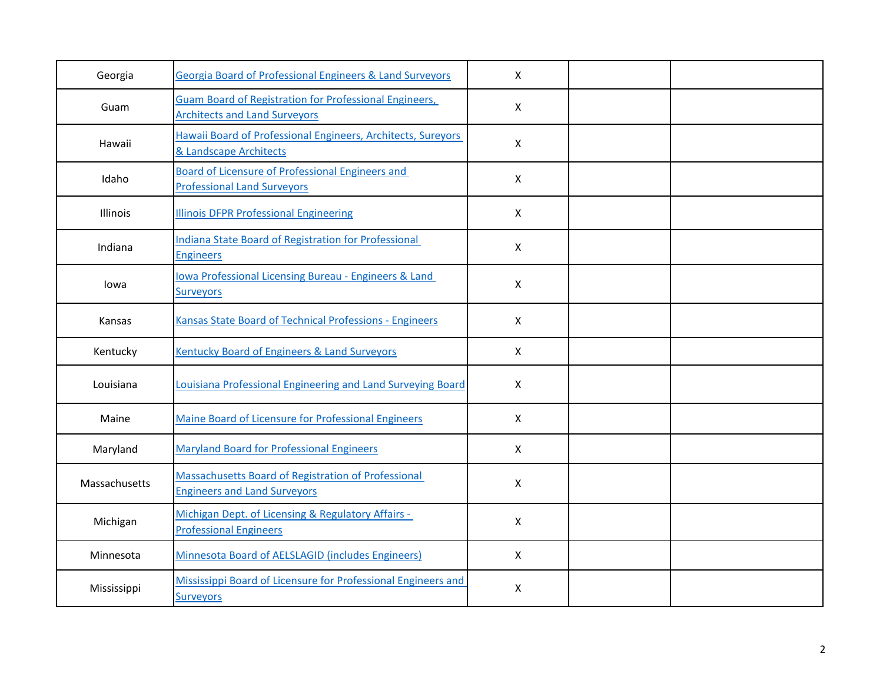| Georgia       | Georgia Board of Professional Engineers & Land Surveyors                                              | $\mathsf{X}$   |  |
|---------------|-------------------------------------------------------------------------------------------------------|----------------|--|
| Guam          | <b>Guam Board of Registration for Professional Engineers,</b><br><b>Architects and Land Surveyors</b> | $\mathsf{X}$   |  |
| Hawaii        | Hawaii Board of Professional Engineers, Architects, Sureyors<br>& Landscape Architects                | $\mathsf{X}$   |  |
| Idaho         | <b>Board of Licensure of Professional Engineers and</b><br><b>Professional Land Surveyors</b>         | $\mathsf{X}$   |  |
| Illinois      | <b>Illinois DFPR Professional Engineering</b>                                                         | $\mathsf{X}$   |  |
| Indiana       | <b>Indiana State Board of Registration for Professional</b><br><b>Engineers</b>                       | $\mathsf{X}$   |  |
| lowa          | lowa Professional Licensing Bureau - Engineers & Land<br><b>Surveyors</b>                             | $\pmb{\times}$ |  |
| Kansas        | Kansas State Board of Technical Professions - Engineers                                               | $\mathsf{X}$   |  |
| Kentucky      | Kentucky Board of Engineers & Land Surveyors                                                          | $\mathsf{X}$   |  |
| Louisiana     | Louisiana Professional Engineering and Land Surveying Board                                           | $\mathsf{X}$   |  |
| Maine         | Maine Board of Licensure for Professional Engineers                                                   | $\mathsf{X}$   |  |
| Maryland      | <b>Maryland Board for Professional Engineers</b>                                                      | $\mathsf{X}$   |  |
| Massachusetts | Massachusetts Board of Registration of Professional<br><b>Engineers and Land Surveyors</b>            | $\mathsf{X}$   |  |
| Michigan      | Michigan Dept. of Licensing & Regulatory Affairs -<br><b>Professional Engineers</b>                   | $\mathsf{X}$   |  |
| Minnesota     | Minnesota Board of AELSLAGID (includes Engineers)                                                     | $\mathsf{X}$   |  |
| Mississippi   | Mississippi Board of Licensure for Professional Engineers and<br><b>Surveyors</b>                     | X              |  |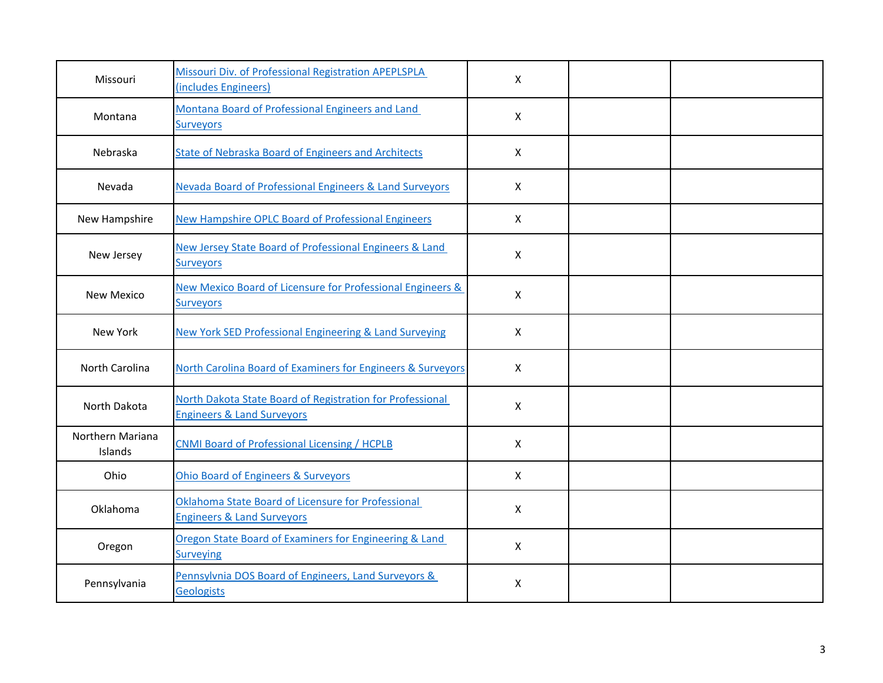| Missouri                    | Missouri Div. of Professional Registration APEPLSPLA<br>(includes Engineers)                       | $\mathsf{X}$   |  |
|-----------------------------|----------------------------------------------------------------------------------------------------|----------------|--|
| Montana                     | Montana Board of Professional Engineers and Land<br><b>Surveyors</b>                               | $\mathsf{X}$   |  |
| Nebraska                    | <b>State of Nebraska Board of Engineers and Architects</b>                                         | $\mathsf{X}$   |  |
| Nevada                      | Nevada Board of Professional Engineers & Land Surveyors                                            | $\mathsf{X}$   |  |
| New Hampshire               | <b>New Hampshire OPLC Board of Professional Engineers</b>                                          | $\mathsf{X}$   |  |
| New Jersey                  | New Jersey State Board of Professional Engineers & Land<br><b>Surveyors</b>                        | $\pmb{\times}$ |  |
| New Mexico                  | New Mexico Board of Licensure for Professional Engineers &<br><b>Surveyors</b>                     | $\mathsf{X}$   |  |
| New York                    | <b>New York SED Professional Engineering &amp; Land Surveying</b>                                  | $\mathsf{X}$   |  |
| North Carolina              | North Carolina Board of Examiners for Engineers & Surveyors                                        | $\mathsf{X}$   |  |
| North Dakota                | North Dakota State Board of Registration for Professional<br><b>Engineers &amp; Land Surveyors</b> | $\mathsf{X}$   |  |
| Northern Mariana<br>Islands | <b>CNMI Board of Professional Licensing / HCPLB</b>                                                | $\mathsf{X}$   |  |
| Ohio                        | <b>Ohio Board of Engineers &amp; Surveyors</b>                                                     | $\mathsf{X}$   |  |
| Oklahoma                    | Oklahoma State Board of Licensure for Professional<br><b>Engineers &amp; Land Surveyors</b>        | $\mathsf{X}$   |  |
| Oregon                      | Oregon State Board of Examiners for Engineering & Land<br><b>Surveying</b>                         | $\pmb{\times}$ |  |
| Pennsylvania                | Pennsylvnia DOS Board of Engineers, Land Surveyors &<br>Geologists                                 | X              |  |